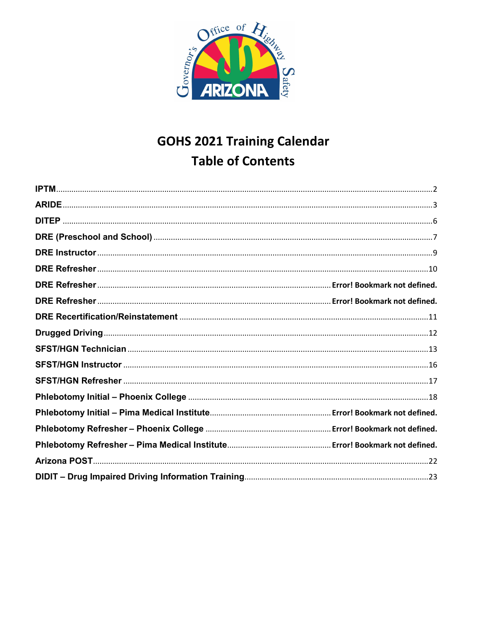

# **GOHS 2021 Training Calendar Table of Contents**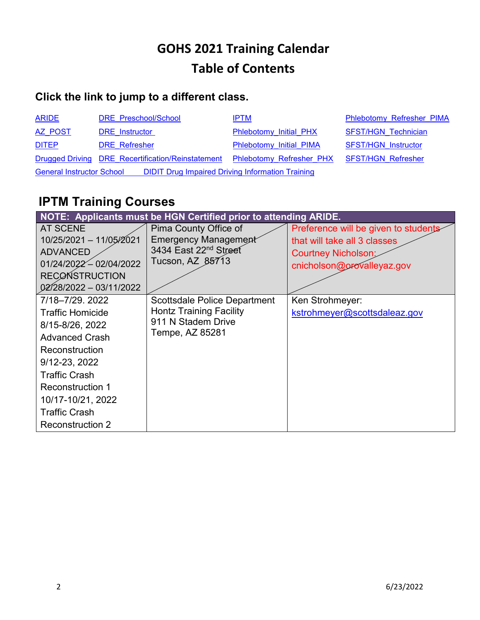# **GOHS 2021 Training Calendar Table of Contents**

## **Click the link to jump to a different class.**

| <b>ARIDE</b>                                                                                | DRE Preschool/School                              | <b>IPTM</b>              | Phlebotomy Refresher PIMA  |
|---------------------------------------------------------------------------------------------|---------------------------------------------------|--------------------------|----------------------------|
| <b>AZ POST</b>                                                                              | <b>DRE</b> Instructor                             | Phlebotomy Initial PHX   | <b>SFST/HGN Technician</b> |
| <b>DITEP</b>                                                                                | <b>DRE</b> Refresher                              | Phlebotomy Initial PIMA  | <b>SFST/HGN Instructor</b> |
|                                                                                             | Drugged Driving DRE Recertification/Reinstatement | Phlebotomy Refresher PHX | <b>SFST/HGN Refresher</b>  |
| <b>DIDIT Drug Impaired Driving Information Training</b><br><b>General Instructor School</b> |                                                   |                          |                            |

# <span id="page-1-0"></span>**IPTM Training Courses**

<span id="page-1-1"></span>

| NOTE: Applicants must be HGN Certified prior to attending ARIDE.                                                                                                                                                                                     |                                                                                                                |                                                                                                                                  |  |  |
|------------------------------------------------------------------------------------------------------------------------------------------------------------------------------------------------------------------------------------------------------|----------------------------------------------------------------------------------------------------------------|----------------------------------------------------------------------------------------------------------------------------------|--|--|
| <b>AT SCENE</b><br>10/25/2021 - 11/05/2021<br><b>ADVANCED</b><br>01/24/2022 - 02/04/2022<br><b>RECONSTRUCTION</b><br>02/28/2022 - 03/11/2022                                                                                                         | Pima County Office of<br><b>Emergency Management</b><br>3434 East 22 <sup>nd</sup> Street<br>Tucson, AZ 85713  | Preference will be given to students<br>that will take all 3 classes<br><b>Courtney Nicholson:</b><br>cnicholson@orovalleyaz.gov |  |  |
| 7/18-7/29. 2022<br><b>Traffic Homicide</b><br>8/15-8/26, 2022<br><b>Advanced Crash</b><br>Reconstruction<br>9/12-23, 2022<br><b>Traffic Crash</b><br><b>Reconstruction 1</b><br>10/17-10/21, 2022<br><b>Traffic Crash</b><br><b>Reconstruction 2</b> | <b>Scottsdale Police Department</b><br><b>Hontz Training Facility</b><br>911 N Stadem Drive<br>Tempe, AZ 85281 | Ken Strohmeyer:<br>kstrohmeyer@scottsdaleaz.gov                                                                                  |  |  |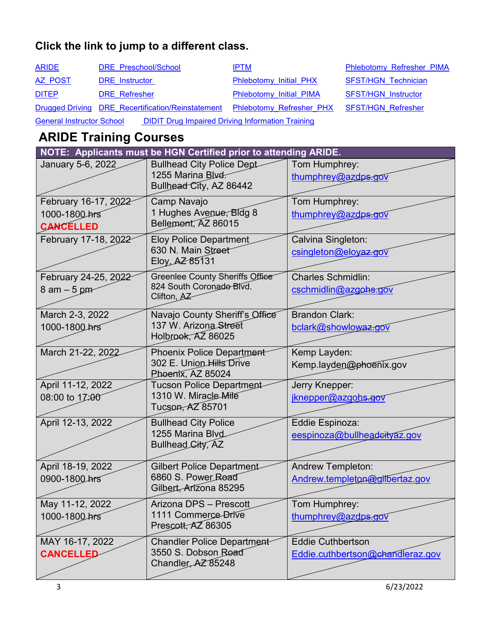| <b>ARIDE</b>                                                                                | DRE Preschool/School                              | <b>IPTM</b>              | Phlebotomy Refresher PIMA  |
|---------------------------------------------------------------------------------------------|---------------------------------------------------|--------------------------|----------------------------|
| AZ POST                                                                                     | <b>DRE</b> Instructor                             | Phlebotomy Initial PHX   | <b>SFST/HGN Technician</b> |
| <b>DITEP</b>                                                                                | <b>DRE</b> Refresher                              | Phlebotomy Initial PIMA  | <b>SFST/HGN Instructor</b> |
|                                                                                             | Drugged Driving DRE Recertification/Reinstatement | Phlebotomy Refresher PHX | <b>SFST/HGN Refresher</b>  |
| <b>DIDIT Drug Impaired Driving Information Training</b><br><b>General Instructor School</b> |                                                   |                          |                            |

# <span id="page-2-0"></span>**ARIDE Training Courses**

| NOTE: Applicants must be HGN Certified prior to attending ARIDE. |                                                                                   |                                                              |  |
|------------------------------------------------------------------|-----------------------------------------------------------------------------------|--------------------------------------------------------------|--|
| January 5-6, 2022                                                | <b>Bullhead City Police Dept</b><br>1255 Marina Blvd.<br>Bullhead City, AZ 86442  | Tom Humphrey:<br>thumphrey@azdps.gov                         |  |
| February 16-17, 2022<br>1000-1800 hrs<br><b>CANCELLED</b>        | Camp Navajo<br>1 Hughes Avenue, Bldg 8<br>Bellemont, AZ 86015                     | Tom Humphrey:<br>thumphrey@azdps.gov                         |  |
| February 17-18, 2022                                             | <b>Eloy Police Department</b><br>630 N. Main Street<br>Eloy, AZ 85131             | Calvina Singleton:<br>csingleton@eloyaz.gov                  |  |
| February 24-25, 2022<br>$8$ am $-5$ pm                           | Greenlee County Sheriffs Office<br>824 South Coronado Blvd.<br>Clifton, AZ        | <b>Charles Schmidlin:</b><br>cschmidlin@azgohs.gov           |  |
| March 2-3, 2022<br>1000-1800 hrs                                 | Navajo County Sheriff's Office<br>137 W. Arizona Street<br>Holbrook, AZ 86025     | <b>Brandon Clark:</b><br>bclark@showlowaz.gov                |  |
| March 21-22, 2022                                                | <b>Phoenix Police Department</b><br>302 E. Union Hills Drive<br>Phoenix, AZ 85024 | Kemp Layden:<br>Kemp.layden@phoenix.gov                      |  |
| April 11-12, 2022<br>08:00 to 17:00                              | <b>Tucson Police Department</b><br>1310 W. Miracle Mile<br>Tucson, AZ 85701       | Jerry Knepper:<br>jknepper@azgohs.gov                        |  |
| April 12-13, 2022                                                | <b>Bullhead City Police</b><br>1255 Marina Blvd<br>Bullhead City, AZ              | Eddie Espinoza:<br>eespinoza@bullheadeityaz.gov              |  |
| April 18-19, 2022<br>0900-1800 hrs                               | <b>Gilbert Police Department</b><br>6860 S. Power Road<br>Gilbert, Arizona 85295  | Andrew Templeton:<br>Andrew.templeton@gilbertaz.gov          |  |
| May 11-12, 2022<br>1000-1800 hrs                                 | Arizona DPS - Prescott<br>1111 Commerce Drive<br>Prescott, AZ 86305               | Tom Humphrey:<br>thumphrey@azdps.gov                         |  |
| MAY 16-17, 2022<br><b>CANCELLED</b>                              | Chandler Police Department<br>3550 S. Dobson Road<br>Chandler AZ 85248            | <b>Eddie Cuthbertson</b><br>Eddie.cuthbertson@chandleraz.gov |  |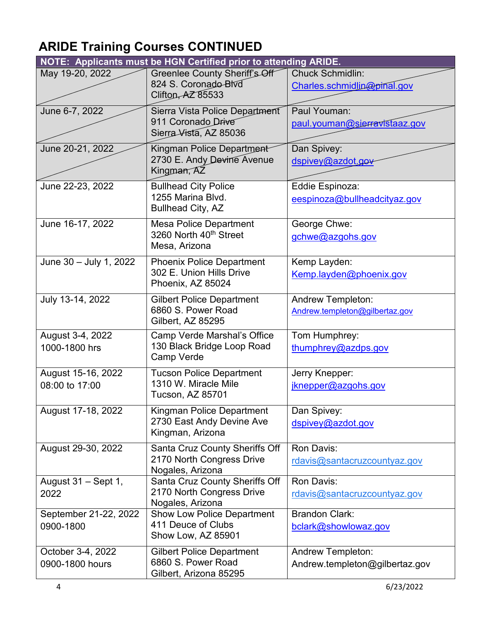# **ARIDE Training Courses CONTINUED**

|                                      | NOTE: Applicants must be HGN Certified prior to attending ARIDE.                  |                                                            |
|--------------------------------------|-----------------------------------------------------------------------------------|------------------------------------------------------------|
| May 19-20, 2022                      | Greenlee County Sheriff's Off<br>824 S. Coronado Blvd<br>Clifton, AZ 85533        | <b>Chuck Schmidlin:</b><br>Charles.schmidlin@pinal.gov     |
| June 6-7, 2022                       | Sierra Vista Police Department<br>911 Coronado Drive<br>Sierra Vista, AZ 85036    | Paul Youman:<br>paul.youman@sierravistaaz.gov              |
| June 20-21, 2022                     | Kingman Police Department<br>2730 E. Andy Devine Avenue<br>Kingman, AZ            | Dan Spivey:<br>dspivey@azdot.gov                           |
| June 22-23, 2022                     | <b>Bullhead City Police</b><br>1255 Marina Blvd.<br><b>Bullhead City, AZ</b>      | Eddie Espinoza:<br>eespinoza@bullheadcityaz.gov            |
| June 16-17, 2022                     | <b>Mesa Police Department</b><br>3260 North 40th Street<br>Mesa, Arizona          | George Chwe:<br>gchwe@azgohs.gov                           |
| June 30 - July 1, 2022               | <b>Phoenix Police Department</b><br>302 E. Union Hills Drive<br>Phoenix, AZ 85024 | Kemp Layden:<br>Kemp.layden@phoenix.gov                    |
| July 13-14, 2022                     | <b>Gilbert Police Department</b><br>6860 S. Power Road<br>Gilbert, AZ 85295       | <b>Andrew Templeton:</b><br>Andrew.templeton@gilbertaz.gov |
| August 3-4, 2022<br>1000-1800 hrs    | Camp Verde Marshal's Office<br>130 Black Bridge Loop Road<br>Camp Verde           | Tom Humphrey:<br>thumphrey@azdps.gov                       |
| August 15-16, 2022<br>08:00 to 17:00 | <b>Tucson Police Department</b><br>1310 W. Miracle Mile<br>Tucson, AZ 85701       | Jerry Knepper:<br>jknepper@azgohs.gov                      |
| August 17-18, 2022                   | Kingman Police Department<br>2730 East Andy Devine Ave<br>Kingman, Arizona        | Dan Spivey:<br>dspivey@azdot.gov                           |
| August 29-30, 2022                   | Santa Cruz County Sheriffs Off<br>2170 North Congress Drive<br>Nogales, Arizona   | Ron Davis:<br>rdavis@santacruzcountyaz.gov                 |
| August 31 - Sept 1,<br>2022          | Santa Cruz County Sheriffs Off<br>2170 North Congress Drive<br>Nogales, Arizona   | Ron Davis:<br>rdavis@santacruzcountyaz.gov                 |
| September 21-22, 2022<br>0900-1800   | <b>Show Low Police Department</b><br>411 Deuce of Clubs<br>Show Low, AZ 85901     | <b>Brandon Clark:</b><br>bclark@showlowaz.gov              |
| October 3-4, 2022<br>0900-1800 hours | <b>Gilbert Police Department</b><br>6860 S. Power Road<br>Gilbert, Arizona 85295  | <b>Andrew Templeton:</b><br>Andrew.templeton@gilbertaz.gov |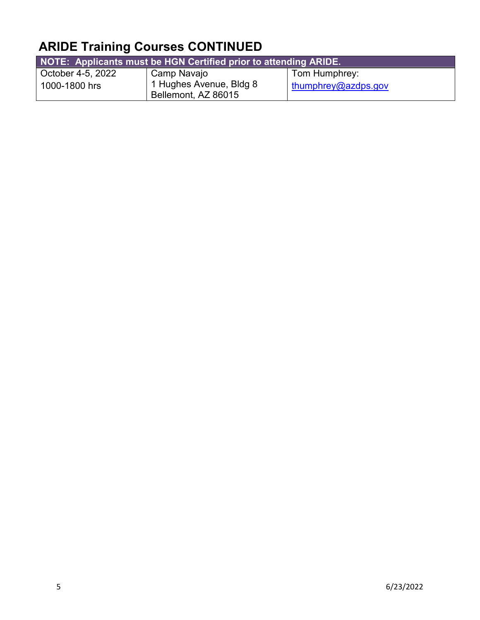# **ARIDE Training Courses CONTINUED**

| NOTE: Applicants must be HGN Certified prior to attending ARIDE. |                                                |                     |  |
|------------------------------------------------------------------|------------------------------------------------|---------------------|--|
| October 4-5, 2022                                                | Camp Navajo                                    | Tom Humphrey:       |  |
| 1000-1800 hrs                                                    | 1 Hughes Avenue, Bldg 8<br>Bellemont, AZ 86015 | thumphrey@azdps.gov |  |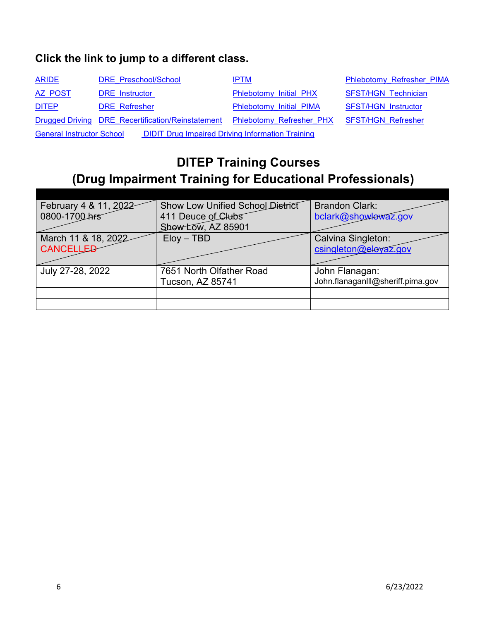| <b>ARIDE</b>                                                                                | DRE Preschool/School                              | <b>IPTM</b>                                 | <b>Phlebotomy Refresher PIMA</b> |
|---------------------------------------------------------------------------------------------|---------------------------------------------------|---------------------------------------------|----------------------------------|
| AZ POST                                                                                     | <b>DRE</b> Instructor                             | Phlebotomy Initial PHX                      | <b>SFST/HGN Technician</b>       |
| <b>DITEP</b>                                                                                | <b>DRE</b> Refresher                              | Phlebotomy Initial PIMA                     | <b>SFST/HGN Instructor</b>       |
|                                                                                             | Drugged Driving DRE Recertification/Reinstatement | Phlebotomy Refresher PHX SFST/HGN Refresher |                                  |
| <b>DIDIT Drug Impaired Driving Information Training</b><br><b>General Instructor School</b> |                                                   |                                             |                                  |

## <span id="page-5-0"></span>**DITEP Training Courses (Drug Impairment Training for Educational Professionals)**

| February 4 & 11, 2022<br>0800-1700 hrs  | <b>Show Low Unified School District</b><br>411 Deuce of Clubs<br>Show Low, AZ 85901 | <b>Brandon Clark:</b><br>bclark@showlowaz.gov       |
|-----------------------------------------|-------------------------------------------------------------------------------------|-----------------------------------------------------|
| March 11 & 18, 2022<br><b>CANCELLED</b> | $Eloy - TBD$                                                                        | Calvina Singleton:<br>csingleton@eleyaz.gov         |
| July 27-28, 2022                        | 7651 North Olfather Road<br><b>Tucson, AZ 85741</b>                                 | John Flanagan:<br>John.flanaganlll@sheriff.pima.gov |
|                                         |                                                                                     |                                                     |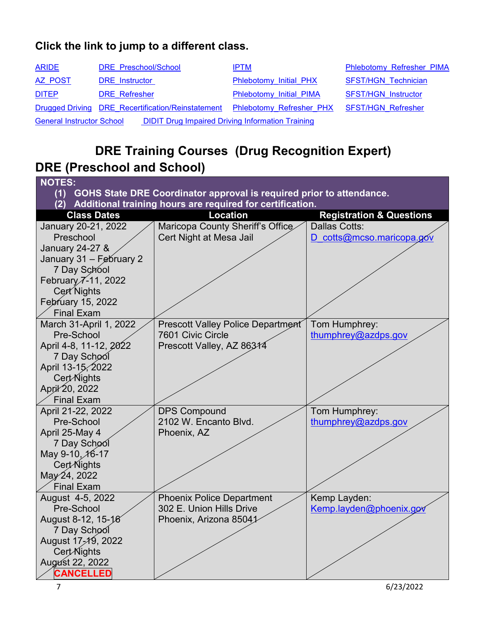| <b>ARIDE</b>                     | DRE Preschool/School                                    | <b>IPTM</b>                                 | Phlebotomy Refresher PIMA  |
|----------------------------------|---------------------------------------------------------|---------------------------------------------|----------------------------|
| AZ POST                          | <b>DRE</b> Instructor                                   | Phlebotomy Initial PHX                      | <b>SFST/HGN Technician</b> |
| <b>DITEP</b>                     | <b>DRE</b> Refresher                                    | Phlebotomy Initial PIMA                     | <b>SFST/HGN Instructor</b> |
|                                  | Drugged Driving DRE Recertification/Reinstatement       | Phlebotomy Refresher PHX SFST/HGN Refresher |                            |
| <b>General Instructor School</b> | <b>DIDIT Drug Impaired Driving Information Training</b> |                                             |                            |

## <span id="page-6-0"></span>**DRE Training Courses (Drug Recognition Expert) DRE (Preschool and School)**

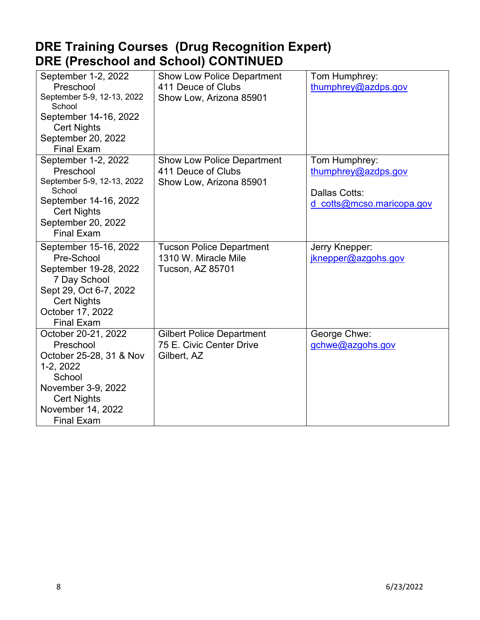## **DRE Training Courses (Drug Recognition Expert) DRE (Preschool and School) CONTINUED**

| September 1-2, 2022<br>Preschool<br>September 5-9, 12-13, 2022<br>School<br>September 14-16, 2022<br><b>Cert Nights</b><br>September 20, 2022<br><b>Final Exam</b>       | <b>Show Low Police Department</b><br>411 Deuce of Clubs<br>Show Low, Arizona 85901 | Tom Humphrey:<br>thumphrey@azdps.gov                                               |
|--------------------------------------------------------------------------------------------------------------------------------------------------------------------------|------------------------------------------------------------------------------------|------------------------------------------------------------------------------------|
| September 1-2, 2022<br>Preschool<br>September 5-9, 12-13, 2022<br>School<br>September 14-16, 2022<br><b>Cert Nights</b><br>September 20, 2022<br><b>Final Exam</b>       | <b>Show Low Police Department</b><br>411 Deuce of Clubs<br>Show Low, Arizona 85901 | Tom Humphrey:<br>thumphrey@azdps.gov<br>Dallas Cotts:<br>d cotts@mcso.maricopa.gov |
| September 15-16, 2022<br>Pre-School<br>September 19-28, 2022<br>7 Day School<br>Sept 29, Oct 6-7, 2022<br><b>Cert Nights</b><br>October 17, 2022<br><b>Final Exam</b>    | <b>Tucson Police Department</b><br>1310 W. Miracle Mile<br>Tucson, AZ 85701        | Jerry Knepper:<br>jknepper@azgohs.gov                                              |
| October 20-21, 2022<br>Preschool<br>October 25-28, 31 & Nov<br>1-2, 2022<br>School<br>November 3-9, 2022<br><b>Cert Nights</b><br>November 14, 2022<br><b>Final Exam</b> | <b>Gilbert Police Department</b><br>75 E. Civic Center Drive<br>Gilbert, AZ        | George Chwe:<br>gchwe@azgohs.gov                                                   |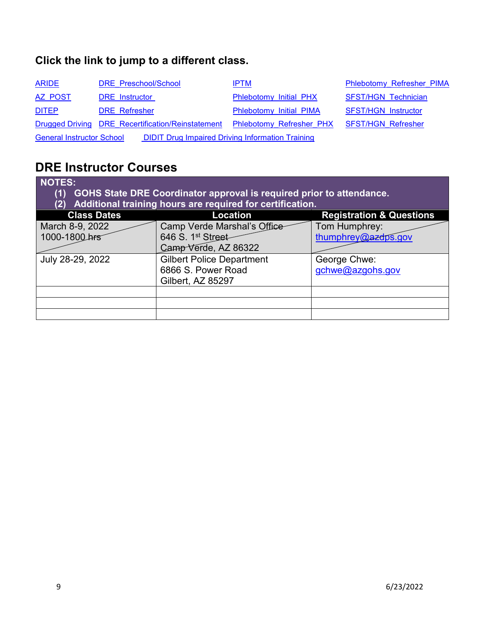| <b>ARIDE</b>                                                                                | DRE Preschool/School                              | <b>IPTM</b>                     | <b>Phlebotomy Refresher PIMA</b> |
|---------------------------------------------------------------------------------------------|---------------------------------------------------|---------------------------------|----------------------------------|
| AZ POST                                                                                     | <b>DRE</b> Instructor                             | Phlebotomy Initial PHX          | <b>SFST/HGN Technician</b>       |
| <b>DITEP</b>                                                                                | <b>DRE</b> Refresher                              | Phlebotomy Initial PIMA         | <b>SFST/HGN Instructor</b>       |
|                                                                                             | Drugged Driving DRE Recertification/Reinstatement | <b>Phlebotomy Refresher PHX</b> | <b>SFST/HGN Refresher</b>        |
| <b>DIDIT Drug Impaired Driving Information Training</b><br><b>General Instructor School</b> |                                                   |                                 |                                  |

## <span id="page-8-0"></span>**DRE Instructor Courses**

| <b>NOTES:</b><br>GOHS State DRE Coordinator approval is required prior to attendance.<br>(1)<br>Additional training hours are required for certification. |                                  |                                     |  |
|-----------------------------------------------------------------------------------------------------------------------------------------------------------|----------------------------------|-------------------------------------|--|
| <b>Class Dates</b>                                                                                                                                        | Location                         | <b>Registration &amp; Questions</b> |  |
| March 8-9, 2022                                                                                                                                           | Camp Verde Marshal's Office      | Tom Humphrey:                       |  |
| 1000-1800 hrs                                                                                                                                             | 646 S. 1st Street-               | thumphrey@azdps.gov                 |  |
|                                                                                                                                                           | Camp Verde, AZ 86322             |                                     |  |
| July 28-29, 2022                                                                                                                                          | <b>Gilbert Police Department</b> | George Chwe:                        |  |
|                                                                                                                                                           | 6866 S. Power Road               | gchwe@azgohs.gov                    |  |
|                                                                                                                                                           | Gilbert, AZ 85297                |                                     |  |
|                                                                                                                                                           |                                  |                                     |  |
|                                                                                                                                                           |                                  |                                     |  |
|                                                                                                                                                           |                                  |                                     |  |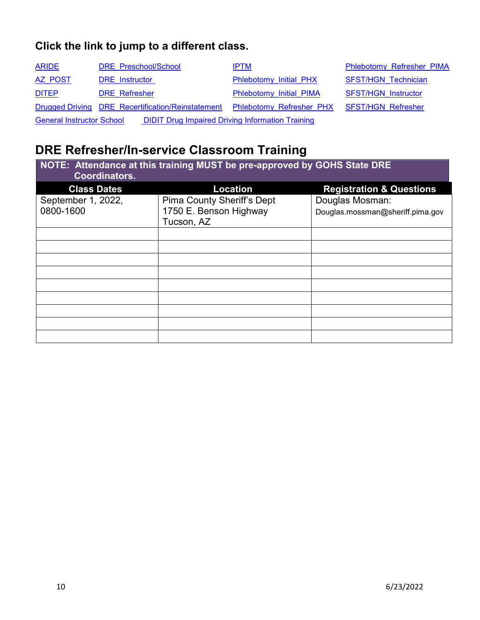| <b>ARIDE</b>                     | DRE Preschool/School                                    | <b>IPTM</b>                                 | <b>Phlebotomy Refresher PIMA</b> |
|----------------------------------|---------------------------------------------------------|---------------------------------------------|----------------------------------|
| AZ POST                          | <b>DRE</b> Instructor                                   | Phlebotomy Initial PHX                      | <b>SFST/HGN Technician</b>       |
| <b>DITEP</b>                     | <b>DRE</b> Refresher                                    | Phlebotomy Initial PIMA                     | <b>SFST/HGN Instructor</b>       |
|                                  | Drugged Driving DRE Recertification/Reinstatement       | Phlebotomy Refresher PHX SFST/HGN Refresher |                                  |
| <b>General Instructor School</b> | <b>DIDIT Drug Impaired Driving Information Training</b> |                                             |                                  |

# <span id="page-9-0"></span>**DRE Refresher/In-service Classroom Training**

| NOTE: Attendance at this training MUST be pre-approved by GOHS State DRE<br><b>Coordinators.</b> |                                   |                                     |  |
|--------------------------------------------------------------------------------------------------|-----------------------------------|-------------------------------------|--|
| <b>Class Dates</b>                                                                               | Location                          | <b>Registration &amp; Questions</b> |  |
| September 1, 2022,                                                                               | <b>Pima County Sheriff's Dept</b> | Douglas Mosman:                     |  |
| 0800-1600                                                                                        | 1750 E. Benson Highway            | Douglas.mossman@sheriff.pima.gov    |  |
|                                                                                                  | Tucson, AZ                        |                                     |  |
|                                                                                                  |                                   |                                     |  |
|                                                                                                  |                                   |                                     |  |
|                                                                                                  |                                   |                                     |  |
|                                                                                                  |                                   |                                     |  |
|                                                                                                  |                                   |                                     |  |
|                                                                                                  |                                   |                                     |  |
|                                                                                                  |                                   |                                     |  |
|                                                                                                  |                                   |                                     |  |
|                                                                                                  |                                   |                                     |  |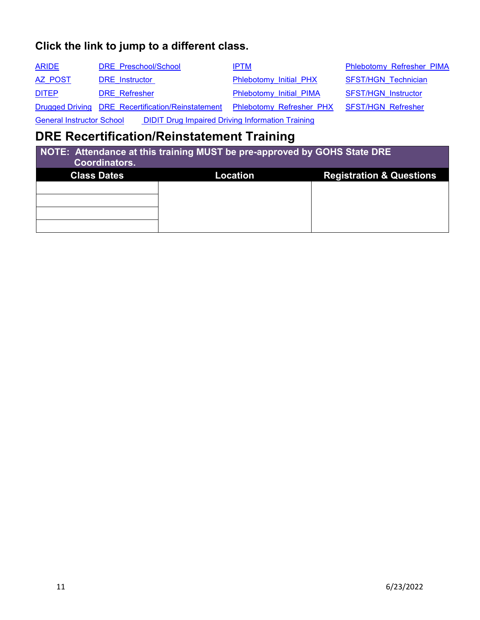<span id="page-10-1"></span>

| <b>ARIDE</b> | DRE Preschool/School                                                                                                                                                                                                               | <b>IPTM</b>              | <b>Phlebotomy Refresher PIMA</b> |
|--------------|------------------------------------------------------------------------------------------------------------------------------------------------------------------------------------------------------------------------------------|--------------------------|----------------------------------|
| AZ POST      | <b>DRE</b> Instructor                                                                                                                                                                                                              | Phlebotomy Initial PHX   | <b>SFST/HGN Technician</b>       |
| <b>DITEP</b> | <b>DRE</b> Refresher                                                                                                                                                                                                               | Phlebotomy Initial PIMA  | <b>SFST/HGN Instructor</b>       |
|              | Drugged Driving DRE Recertification/Reinstatement                                                                                                                                                                                  | Phlebotomy Refresher PHX | <b>SFST/HGN Refresher</b>        |
|              | $\bullet$ if a controlled the controlled the controlled to the controlled the controlled to the controlled to the controlled to the controlled to the controlled to the controlled to the control of the control of the controlled |                          |                                  |

General Instructor School DIDIT Drug Impaired Driving Information Training

## <span id="page-10-0"></span>**DRE Recertification/Reinstatement Training**

| NOTE: Attendance at this training MUST be pre-approved by GOHS State DRE<br><b>Coordinators.</b> |          |                                     |  |
|--------------------------------------------------------------------------------------------------|----------|-------------------------------------|--|
| <b>Class Dates</b>                                                                               | Location | <b>Registration &amp; Questions</b> |  |
|                                                                                                  |          |                                     |  |
|                                                                                                  |          |                                     |  |
|                                                                                                  |          |                                     |  |
|                                                                                                  |          |                                     |  |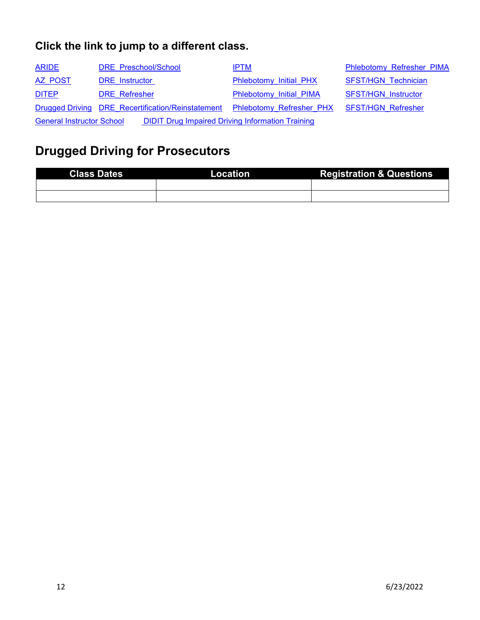| <b>ARIDE</b>                                                                                | DRE Preschool/School                              | <b>IPTM</b>                                 | Phlebotomy Refresher PIMA  |
|---------------------------------------------------------------------------------------------|---------------------------------------------------|---------------------------------------------|----------------------------|
| AZ POST                                                                                     | <b>DRE</b> Instructor                             | Phlebotomy Initial PHX                      | <b>SFST/HGN Technician</b> |
| <b>DITEP</b>                                                                                | <b>DRE</b> Refresher                              | Phlebotomy Initial PIMA                     | <b>SFST/HGN Instructor</b> |
|                                                                                             | Drugged Driving DRE Recertification/Reinstatement | Phlebotomy Refresher PHX SFST/HGN Refresher |                            |
| <b>DIDIT Drug Impaired Driving Information Training</b><br><b>General Instructor School</b> |                                                   |                                             |                            |

# <span id="page-11-0"></span>**Drugged Driving for Prosecutors**

| <b>Class Dates</b> | Location \ | <b>Registration &amp; Questions</b> |
|--------------------|------------|-------------------------------------|
|                    |            |                                     |
|                    |            |                                     |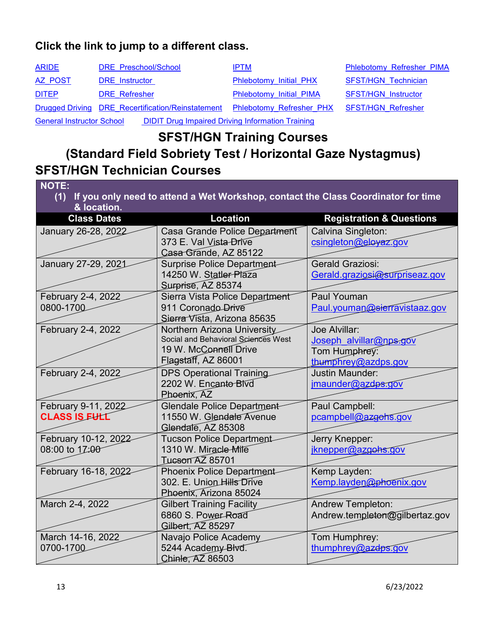| <b>ARIDE</b>                                                                                | DRE Preschool/School                              | <b>IPTM</b>                                 | Phlebotomy Refresher PIMA  |
|---------------------------------------------------------------------------------------------|---------------------------------------------------|---------------------------------------------|----------------------------|
| AZ POST                                                                                     | <b>DRE</b> Instructor                             | Phlebotomy Initial PHX                      | <b>SFST/HGN Technician</b> |
| <b>DITEP</b>                                                                                | <b>DRE</b> Refresher                              | Phlebotomy Initial PIMA                     | <b>SFST/HGN Instructor</b> |
|                                                                                             | Drugged Driving DRE Recertification/Reinstatement | Phlebotomy Refresher PHX SFST/HGN Refresher |                            |
| <b>DIDIT Drug Impaired Driving Information Training</b><br><b>General Instructor School</b> |                                                   |                                             |                            |

**SFST/HGN Training Courses** 

# **(Standard Field Sobriety Test / Horizontal Gaze Nystagmus) SFST/HGN Technician Courses**

<span id="page-12-0"></span>

| <b>NOTE:</b>                                                                          |                                         |                                     |  |
|---------------------------------------------------------------------------------------|-----------------------------------------|-------------------------------------|--|
| (1) If you only need to attend a Wet Workshop, contact the Class Coordinator for time |                                         |                                     |  |
| & location.<br><b>Class Dates</b>                                                     | <b>Location</b>                         | <b>Registration &amp; Questions</b> |  |
| January 26-28, 2022                                                                   | Casa Grande Police Department           | Calvina Singleton:                  |  |
|                                                                                       | 373 E. Val Vista-Drive                  | csingleton@eloyaz.gov               |  |
|                                                                                       | Casa Grande, AZ 85122                   |                                     |  |
| January 27-29, 2021                                                                   | <b>Surprise Police Department</b>       | <b>Gerald Graziosi:</b>             |  |
|                                                                                       | 14250 W. Statler Plaza                  | Gerald.graziosi@surpriseaz.gov      |  |
|                                                                                       | Surprise, AZ 85374                      |                                     |  |
| February 2-4, 2022                                                                    | Sierra Vista Police Department          | Paul Youman                         |  |
| 0800-1700                                                                             | 911 Coronado Drive                      | Paul.youman@sierravistaaz.gov       |  |
|                                                                                       | Sierra Vista, Arizona 85635             |                                     |  |
| February 2-4, 2022                                                                    | Northern Arizona University             | Joe Alvillar:                       |  |
|                                                                                       | Social and Behavioral Sciences West     | Joseph alvillar@nps.gov             |  |
|                                                                                       | 19 W. McConnell Drive                   | Tom Humphrey:                       |  |
|                                                                                       | Flagstaff, AZ 86001                     | thumphrey@azdps.gov                 |  |
| February 2-4, 2022                                                                    | <b>DPS Operational Training</b>         | <b>Justin Maunder:</b>              |  |
|                                                                                       | 2202 W. Encanto Blvd                    | imaunder@azdps.gov                  |  |
|                                                                                       | Phoenix, AZ                             |                                     |  |
| February 9-11, 2022                                                                   | <b>Glendale Police Department</b>       | Paul Campbell:                      |  |
| <b>CLASS IS FULL</b>                                                                  | 11550 W. Glendale Avenue                | pcampbell@azgohs.gov                |  |
|                                                                                       | Glendale, AZ 85308                      |                                     |  |
| February 10-12, 2022                                                                  | <b>Tucson Police Department</b>         | Jerry Knepper:                      |  |
| 08:00 to 17:00                                                                        | 1310 W. Miracle Mile                    | jknepper@azgohs.gov                 |  |
|                                                                                       | <b>Tucson AZ 85701</b>                  |                                     |  |
| February 16-18, 2022                                                                  | <b>Phoenix Police Department</b>        | Kemp Layden:                        |  |
|                                                                                       | 302. E. Union Hills Drive               | Kemp.layden@phoenix.gov             |  |
|                                                                                       | Phoenix, Arizona 85024                  |                                     |  |
| March 2-4, 2022                                                                       | <b>Gilbert Training Facility</b>        | <b>Andrew Templeton:</b>            |  |
|                                                                                       | 6860 S. Power Road<br>Gilbert, AZ 85297 | Andrew.templeton@gilbertaz.gov      |  |
|                                                                                       |                                         |                                     |  |
| March 14-16, 2022                                                                     | Navajo Police Academy                   | Tom Humphrey:                       |  |
| 0700-1700                                                                             | 5244 Academy Blvd.                      | thumphrey@azdps.gov                 |  |
|                                                                                       | Chinle, AZ 86503                        |                                     |  |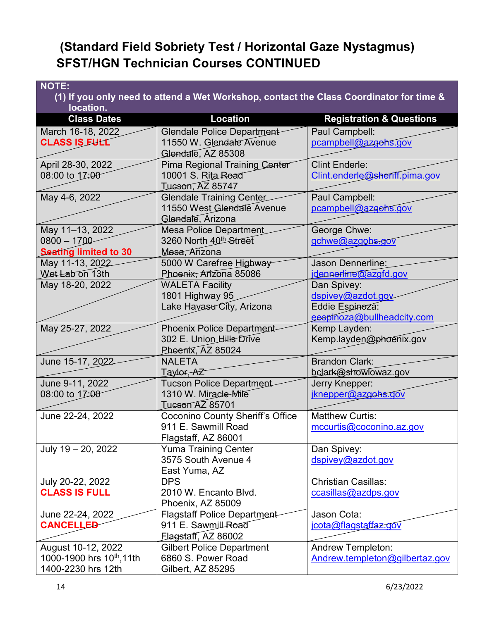## **(Standard Field Sobriety Test / Horizontal Gaze Nystagmus) SFST/HGN Technician Courses CONTINUED**

| <b>NOTE:</b>                                                                                         |                                                         |                                        |  |  |
|------------------------------------------------------------------------------------------------------|---------------------------------------------------------|----------------------------------------|--|--|
| (1) If you only need to attend a Wet Workshop, contact the Class Coordinator for time &<br>location. |                                                         |                                        |  |  |
| <b>Class Dates</b>                                                                                   | Location                                                | <b>Registration &amp; Questions</b>    |  |  |
| March 16-18, 2022                                                                                    | Glendale Police Department                              | Paul Campbell:                         |  |  |
| <b>CLASS IS FULL</b>                                                                                 | 11550 W. Glendale Avenue                                | pcampbell@azgohs.gov                   |  |  |
|                                                                                                      | Glendale, AZ 85308                                      |                                        |  |  |
| April 28-30, 2022                                                                                    | <b>Pima Regional Training Center</b>                    | <b>Clint Enderle:</b>                  |  |  |
| 08:00 to 17:00                                                                                       | 10001 S. Rita Road                                      | Clint.enderle@sheriff.pima.gov         |  |  |
|                                                                                                      | <b>Tucson, AZ 85747</b>                                 |                                        |  |  |
| May 4-6, 2022                                                                                        | <b>Glendale Training Center</b>                         | Paul Campbell:                         |  |  |
|                                                                                                      | 11550 West Glendale Avenue                              | pcampbell@azgohs.gov                   |  |  |
|                                                                                                      | Glendale, Arizona                                       |                                        |  |  |
| May 11-13, 2022                                                                                      | <b>Mesa Police Department</b>                           | George Chwe:                           |  |  |
| $0800 - 1700$                                                                                        | 3260 North 40th Street                                  | gchwe@azgohs.gov                       |  |  |
| <b>Seating limited to 30</b>                                                                         | Mesa, Arizona                                           |                                        |  |  |
| May 11-13, 2022                                                                                      | 5000 W Carefree Highway                                 | <b>Jason Dennerline:</b>               |  |  |
| Wet Lab on 13th                                                                                      | Phoenix, Arizona 85086                                  | idennerline@azgfd.gov                  |  |  |
| May 18-20, 2022                                                                                      | <b>WALETA Facility</b>                                  | Dan Spivey:                            |  |  |
|                                                                                                      | 1801 Highway 95                                         | dspivey@azdot.gov                      |  |  |
|                                                                                                      | Lake Havasu City, Arizona                               | Eddie Espinoza:                        |  |  |
|                                                                                                      |                                                         | eespinoza@bullheadcity.com             |  |  |
| May 25-27, 2022                                                                                      | <b>Phoenix Police Department</b>                        | Kemp Layden:                           |  |  |
|                                                                                                      | 302 E. Union Hills Drive                                | Kemp.layden@phoenix.gov                |  |  |
|                                                                                                      | Phoenix, AZ 85024                                       | <b>Brandon Clark:</b>                  |  |  |
| June 15-17, 2022                                                                                     | <b>NALETA</b>                                           |                                        |  |  |
| June 9-11, 2022                                                                                      | Taylor <del>, AZ</del>                                  | bclark@showlowaz.gov<br>Jerry Knepper: |  |  |
| 08:00 to 17:00                                                                                       | <b>Tucson Police Department</b><br>1310 W. Miracle Mile | jknepper@azgohs.gov                    |  |  |
|                                                                                                      | <b>Tucson AZ 85701</b>                                  |                                        |  |  |
| June 22-24, 2022                                                                                     | <b>Coconino County Sheriff's Office</b>                 | <b>Matthew Curtis:</b>                 |  |  |
|                                                                                                      | 911 E. Sawmill Road                                     | mccurtis@coconino.az.gov               |  |  |
|                                                                                                      | Flagstaff, AZ 86001                                     |                                        |  |  |
| July 19 - 20, 2022                                                                                   | <b>Yuma Training Center</b>                             | Dan Spivey:                            |  |  |
|                                                                                                      | 3575 South Avenue 4                                     | dspivey@azdot.gov                      |  |  |
|                                                                                                      | East Yuma, AZ                                           |                                        |  |  |
| July 20-22, 2022                                                                                     | <b>DPS</b>                                              | Christian Casillas:                    |  |  |
| <b>CLASS IS FULL</b>                                                                                 | 2010 W. Encanto Blvd.                                   | ccasillas@azdps.gov                    |  |  |
|                                                                                                      | Phoenix, AZ 85009                                       |                                        |  |  |
| June 22-24, 2022                                                                                     | <b>Flagstaff Police Department</b>                      | Jason Cota:                            |  |  |
| <b>CANCELLED</b>                                                                                     | 911 E. Sawmill Road                                     | jcota@flagstaffaz.gov                  |  |  |
|                                                                                                      | Flagstaff, AZ 86002                                     |                                        |  |  |
| August 10-12, 2022                                                                                   | <b>Gilbert Police Department</b>                        | <b>Andrew Templeton:</b>               |  |  |
| 1000-1900 hrs 10 <sup>th</sup> , 11th                                                                | 6860 S. Power Road                                      | Andrew.templeton@gilbertaz.gov         |  |  |
| 1400-2230 hrs 12th                                                                                   | Gilbert, AZ 85295                                       |                                        |  |  |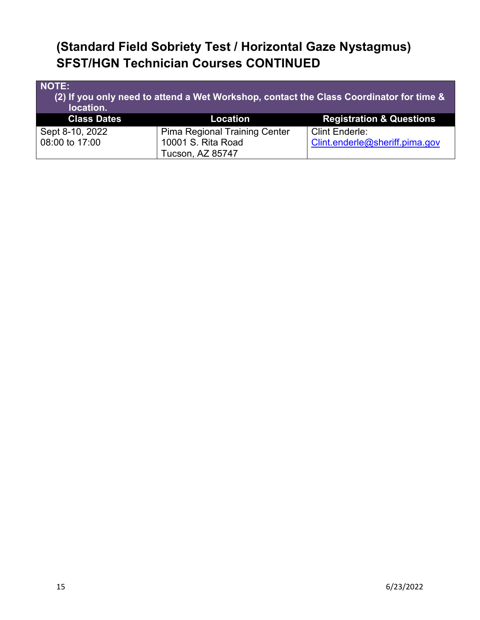## **(Standard Field Sobriety Test / Horizontal Gaze Nystagmus) SFST/HGN Technician Courses CONTINUED**

| NOTE:<br>(2) If you only need to attend a Wet Workshop, contact the Class Coordinator for time &<br>location. |                                      |                                     |  |
|---------------------------------------------------------------------------------------------------------------|--------------------------------------|-------------------------------------|--|
| <b>Class Dates</b>                                                                                            | Location                             | <b>Registration &amp; Questions</b> |  |
| Sept 8-10, 2022                                                                                               | <b>Pima Regional Training Center</b> | <b>Clint Enderle:</b>               |  |
| 08:00 to 17:00                                                                                                | 10001 S. Rita Road                   | Clint.enderle@sheriff.pima.gov      |  |
|                                                                                                               | <b>Tucson, AZ 85747</b>              |                                     |  |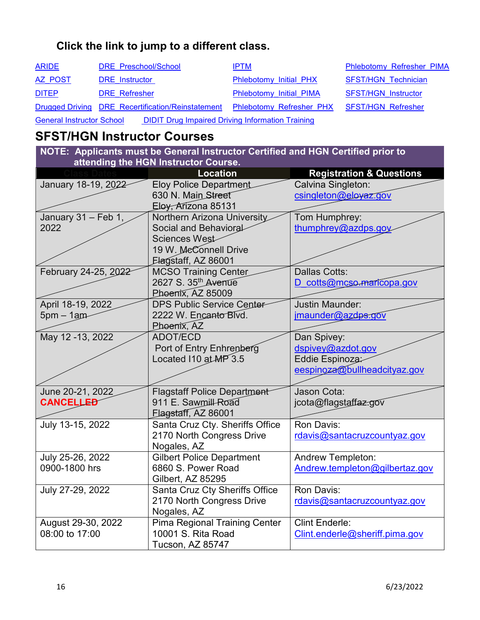<span id="page-15-1"></span>

| <b>ARIDE</b> | DRE Preschool/School                              | <b>IPTM</b>                                 | Phlebotomy Refresher PIMA  |
|--------------|---------------------------------------------------|---------------------------------------------|----------------------------|
| AZ POST      | <b>DRE</b> Instructor                             | Phlebotomy Initial PHX                      | <b>SFST/HGN Technician</b> |
| <b>DITEP</b> | <b>DRE</b> Refresher                              | Phlebotomy Initial PIMA                     | <b>SFST/HGN Instructor</b> |
|              | Drugged Driving DRE Recertification/Reinstatement | Phlebotomy Refresher PHX SFST/HGN Refresher |                            |
|              |                                                   |                                             |                            |

General Instructor School DIDIT Drug Impaired Driving Information Training

### <span id="page-15-0"></span>**SFST/HGN Instructor Courses**

**NOTE: Applicants must be General Instructor Certified and HGN Certified prior to attending the HGN Instructor Course.**

|                      | <b>Location</b>                            | <b>Registration &amp; Questions</b> |
|----------------------|--------------------------------------------|-------------------------------------|
| January 18-19, 2022  | <b>Eloy Police Department</b>              | Calvina Singleton:                  |
|                      | 630 N. Main Street                         | csingleton@eloyaz.gov               |
|                      | Eloy, Arizona 85131                        |                                     |
| January 31 - Feb 1,  | Northern Arizona University                | Tom Humphrey:                       |
| 2022                 | Social and Behavioral                      | thumphrey@azdps.goy                 |
|                      | Sciences West                              |                                     |
|                      | 19 W. McConnell Drive                      |                                     |
|                      | Elagstaff, AZ 86001                        |                                     |
| February 24-25, 2022 | <b>MCSO Training Center</b>                | <b>Dallas Cotts:</b>                |
|                      | 2627 S. 35th Avenue                        | D cotts@mcso.maricopa.gov           |
|                      | Phoenix, AZ 85009                          |                                     |
| April 18-19, 2022    | <b>DPS Public Service Center-</b>          | <b>Justin Maunder:</b>              |
| $5pm - 1am$          | 2222 W. Encanto Blvd.                      | jmaunder@azdps.gov                  |
|                      | Phoenix, AZ                                |                                     |
| May 12 -13, 2022     | <b>ADOT/ECD</b>                            | Dan Spivey:                         |
|                      | Port of Entry Enhrenberg                   | dspivey@azdot.gov                   |
|                      | Located I10 at MP 3.5                      | Eddie Espinoza:                     |
|                      |                                            | eespinoza@bullheadcityaz.gov        |
|                      |                                            |                                     |
| June 20-21, 2022     | <b>Flagstaff Police Department</b>         | Jason Cota:                         |
| <b>CANCELLED</b>     | 911 E. Sawmill-Road<br>Flagstaff, AZ 86001 | jcota@flagstaffaz.gov               |
| July 13-15, 2022     | Santa Cruz Cty. Sheriffs Office            | Ron Davis:                          |
|                      | 2170 North Congress Drive                  | rdavis@santacruzcountyaz.gov        |
|                      | Nogales, AZ                                |                                     |
| July 25-26, 2022     | <b>Gilbert Police Department</b>           | <b>Andrew Templeton:</b>            |
| 0900-1800 hrs        | 6860 S. Power Road                         | Andrew.templeton@gilbertaz.gov      |
|                      | Gilbert, AZ 85295                          |                                     |
| July 27-29, 2022     | Santa Cruz Cty Sheriffs Office             | Ron Davis:                          |
|                      | 2170 North Congress Drive                  | rdavis@santacruzcountyaz.gov        |
|                      | Nogales, AZ                                |                                     |
| August 29-30, 2022   | <b>Pima Regional Training Center</b>       | Clint Enderle:                      |
| 08:00 to 17:00       | 10001 S. Rita Road                         | Clint.enderle@sheriff.pima.gov      |
|                      | Tucson, AZ 85747                           |                                     |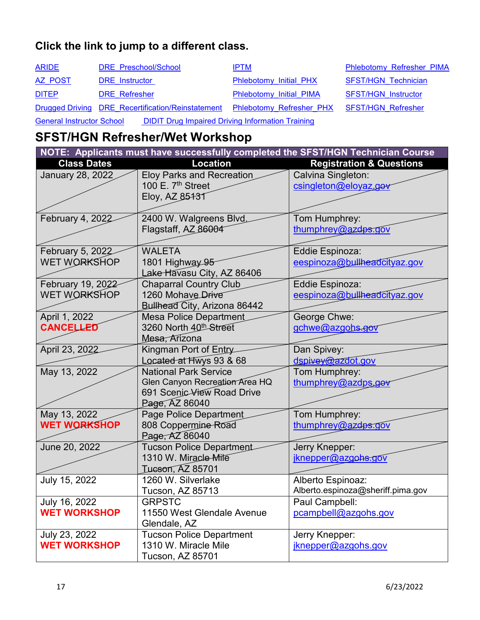| <b>ARIDE</b>                                                                                | DRE Preschool/School                              | <b>IPTM</b>                                 | Phlebotomy Refresher PIMA  |
|---------------------------------------------------------------------------------------------|---------------------------------------------------|---------------------------------------------|----------------------------|
| AZ POST                                                                                     | <b>DRE</b> Instructor                             | Phlebotomy Initial PHX                      | <b>SFST/HGN Technician</b> |
| <b>DITEP</b>                                                                                | <b>DRE</b> Refresher                              | Phlebotomy Initial PIMA                     | <b>SFST/HGN Instructor</b> |
|                                                                                             | Drugged Driving DRE Recertification/Reinstatement | Phlebotomy Refresher PHX SFST/HGN Refresher |                            |
| <b>DIDIT Drug Impaired Driving Information Training</b><br><b>General Instructor School</b> |                                                   |                                             |                            |

## <span id="page-16-0"></span>**SFST/HGN Refresher/Wet Workshop**

| NOTE: Applicants must have successfully completed the SFST/HGN Technician Course |                                  |                                     |  |
|----------------------------------------------------------------------------------|----------------------------------|-------------------------------------|--|
| <b>Class Dates</b>                                                               | <b>Location</b>                  | <b>Registration &amp; Questions</b> |  |
| January 28, 2022                                                                 | <b>Eloy Parks and Recreation</b> | Calvina Singleton:                  |  |
|                                                                                  | 100 E. 7 <sup>th</sup> Street    | csingleton@eloyaz.gov               |  |
|                                                                                  | Eloy, AZ 85131                   |                                     |  |
|                                                                                  |                                  |                                     |  |
| February 4, 2022                                                                 | 2400 W. Walgreens Blvd           | Tom Humphrey:                       |  |
|                                                                                  | Flagstaff, AZ 86004              | thumphrey@azdps.gov                 |  |
|                                                                                  |                                  |                                     |  |
| February 5, 2022                                                                 | <b>WALETA</b>                    | Eddie Espinoza:                     |  |
| WET WORKSHOP                                                                     | 1801 Highway 95                  | eespinoza@bullheadcityaz.gov        |  |
|                                                                                  | Lake Havasu City, AZ 86406       |                                     |  |
| February 19, 2022                                                                | <b>Chaparral Country Club</b>    | Eddie Espinoza:                     |  |
| <b>WET WORKSHOP</b>                                                              | 1260 Mohave Drive                | eespinoza@bullheadcityaz.gov        |  |
|                                                                                  | Bullhead City, Arizona 86442     |                                     |  |
| April 1, 2022                                                                    | <b>Mesa Police Department</b>    | George Chwe:                        |  |
| <b>CANCELLED</b>                                                                 | 3260 North 40th Street           | gchwe@azgobs.gov                    |  |
|                                                                                  | Mesa, Arizona                    |                                     |  |
| April 23, 2022                                                                   | Kingman Port of Entry            | Dan Spivey:                         |  |
|                                                                                  | Located at Hwys 93 & 68          | dspivey@azdot.gov                   |  |
| May 13, 2022                                                                     | <b>National Park Service</b>     | Tom Humphrey:                       |  |
|                                                                                  | Glen Canyon Recreation Area HQ   | thumphrey@azdps.gov                 |  |
|                                                                                  | 691 Scenic View Road Drive       |                                     |  |
|                                                                                  | Page, AZ 86040                   |                                     |  |
| May 13, 2022                                                                     | Page Police Department           | Tom Humphrey:                       |  |
| <b>WET WORKSHOP</b>                                                              | 808 Coppermine Road              | thumphrey@azdps.gov                 |  |
|                                                                                  | Page, AZ 86040                   |                                     |  |
| June 20, 2022                                                                    | <b>Tucson Police Department</b>  | Jerry Knepper:                      |  |
|                                                                                  | 1310 W. Miracle Mile             | jknepper@azgohs.gov                 |  |
|                                                                                  | <b>Tucson, AZ 85701</b>          |                                     |  |
| July 15, 2022                                                                    | 1260 W. Silverlake               | Alberto Espinoaz:                   |  |
|                                                                                  | Tucson, AZ 85713                 | Alberto.espinoza@sheriff.pima.gov   |  |
| July 16, 2022                                                                    | <b>GRPSTC</b>                    | Paul Campbell:                      |  |
| <b>WET WORKSHOP</b>                                                              | 11550 West Glendale Avenue       | pcampbell@azgohs.gov                |  |
|                                                                                  | Glendale, AZ                     |                                     |  |
| July 23, 2022                                                                    | <b>Tucson Police Department</b>  | Jerry Knepper:                      |  |
| <b>WET WORKSHOP</b>                                                              | 1310 W. Miracle Mile             | jknepper@azgohs.gov                 |  |
|                                                                                  | Tucson, AZ 85701                 |                                     |  |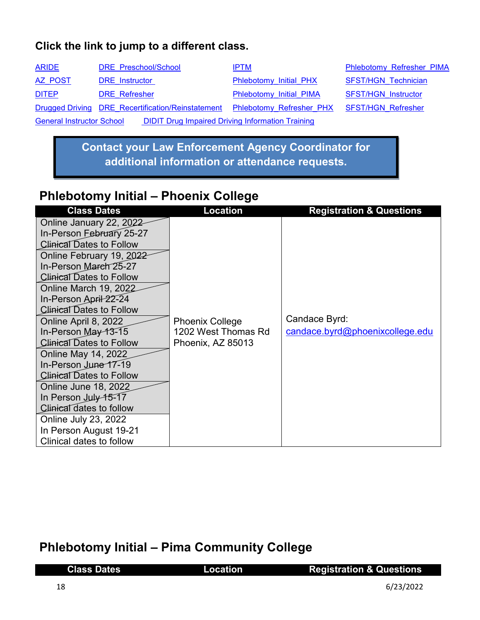| <b>ARIDE</b>                                                                                | DRE Preschool/School                              | <b>IPTM</b>                                        | Phlebotomy Refresher PIMA  |
|---------------------------------------------------------------------------------------------|---------------------------------------------------|----------------------------------------------------|----------------------------|
| AZ POST                                                                                     | <b>DRE</b> Instructor                             | Phlebotomy Initial PHX                             | <b>SFST/HGN Technician</b> |
| <b>DITEP</b>                                                                                | <b>DRE</b> Refresher                              | Phlebotomy Initial PIMA                            | <b>SFST/HGN Instructor</b> |
|                                                                                             | Drugged Driving DRE Recertification/Reinstatement | <b>Phlebotomy Refresher PHX SFST/HGN Refresher</b> |                            |
| <b>DIDIT Drug Impaired Driving Information Training</b><br><b>General Instructor School</b> |                                                   |                                                    |                            |

**Contact your Law Enforcement Agency Coordinator for additional information or attendance requests.**

## <span id="page-17-0"></span>**Phlebotomy Initial – Phoenix College**

| <b>Class Dates</b>              | <b>Location</b>        | <b>Registration &amp; Questions</b> |
|---------------------------------|------------------------|-------------------------------------|
| Online January 22, 2022         |                        |                                     |
| In-Person February 25-27        |                        |                                     |
| <b>Clinical Dates to Follow</b> |                        |                                     |
| Online February 19, 2022        |                        |                                     |
| In-Person Mareh 25-27           |                        |                                     |
| <b>Clinical Dates to Follow</b> |                        |                                     |
| <b>Online March 19, 2022</b>    |                        |                                     |
| In-Person April 22-24           |                        |                                     |
| <b>Clinical Dates to Follow</b> |                        |                                     |
| Online April 8, 2022            | <b>Phoenix College</b> | Candace Byrd:                       |
| In-Person May 13-15             | 1202 West Thomas Rd    | candace.byrd@phoenixcollege.edu     |
| <b>Clinical Dates to Follow</b> | Phoenix, AZ 85013      |                                     |
| <b>Online May 14, 2022</b>      |                        |                                     |
| In-Person June 17-19            |                        |                                     |
| <b>Clinical Dates to Follow</b> |                        |                                     |
| Online June 18, 2022            |                        |                                     |
| In Person July 15-17            |                        |                                     |
| Clinical dates to follow        |                        |                                     |
| Online July 23, 2022            |                        |                                     |
| In Person August 19-21          |                        |                                     |
| Clinical dates to follow        |                        |                                     |

## **Phlebotomy Initial – Pima Community College**

| <b>Class Dates</b> | Location | <b>Registration &amp; Questions</b> |
|--------------------|----------|-------------------------------------|
| -18                |          | 6/23/2022                           |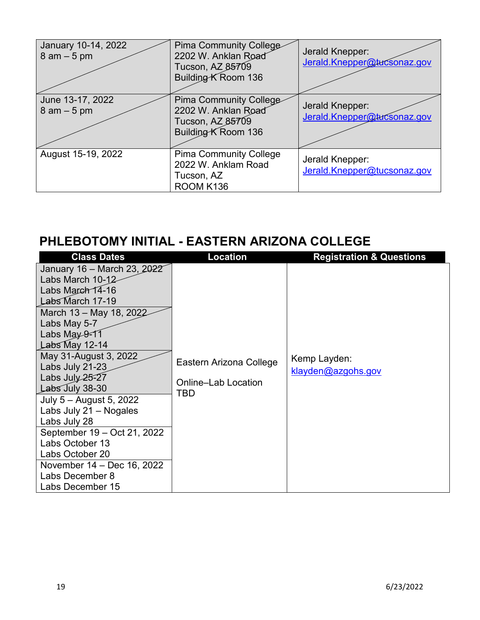| January 10-14, 2022<br>$8$ am $-5$ pm | Pima Community College<br>2202 W. Anklan Road<br>Tucson, AZ 85709<br>Building K Room 136 | Jerald Knepper:<br>Jerald.Knepper@tucsonaz.gov |
|---------------------------------------|------------------------------------------------------------------------------------------|------------------------------------------------|
| June 13-17, 2022<br>$8$ am $-5$ pm    | Pima Community College<br>2202 W. Anklan Road<br>Tucson, AZ 85709<br>Building K Room 136 | Jerald Knepper:<br>Jerald.Knepper@tucsonaz.gov |
| August 15-19, 2022                    | <b>Pima Community College</b><br>2022 W. Anklam Road<br>Tucson, AZ<br>ROOM K136          | Jerald Knepper:<br>Jerald.Knepper@tucsonaz.gov |

## **PHLEBOTOMY INITIAL - EASTERN ARIZONA COLLEGE**

| <b>Class Dates</b>                                                                                                                                                                                                                                                                                                                                                                                                                                                                 | <b>Location</b>                                              | <b>Registration &amp; Questions</b> |
|------------------------------------------------------------------------------------------------------------------------------------------------------------------------------------------------------------------------------------------------------------------------------------------------------------------------------------------------------------------------------------------------------------------------------------------------------------------------------------|--------------------------------------------------------------|-------------------------------------|
| January 16 - March 23, 2022<br>Labs March 10-12<br>Labs March 14-16<br>Labs March 17-19<br>March 13 – May 18, 2022<br>Labs May 5-7<br>Labs May $9 - 11$<br>Labs May $12-14$<br>May 31-August 3, 2022<br>Labs July 21-23<br>Labs July $25 - 27$<br>Labs July 38-30<br>July 5 - August 5, 2022<br>Labs July $21 - Nogales$<br>Labs July 28<br>September 19 - Oct 21, 2022<br>Labs October 13<br>Labs October 20<br>November 14 – Dec 16, 2022<br>Labs December 8<br>Labs December 15 | Eastern Arizona College<br><b>Online-Lab Location</b><br>TBD | Kemp Layden:<br>klayden@azgohs.gov  |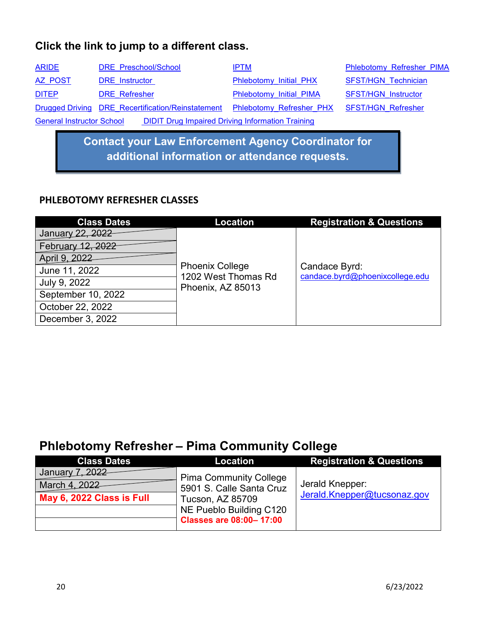| <b>ARIDE</b>                     | DRE Preschool/School                                    | <b>IPTM</b>                     | Phlebotomy Refresher PIMA  |
|----------------------------------|---------------------------------------------------------|---------------------------------|----------------------------|
| AZ POST                          | <b>DRE</b> Instructor                                   | Phlebotomy Initial PHX          | <b>SFST/HGN Technician</b> |
| <b>DITEP</b>                     | <b>DRE</b> Refresher                                    | Phlebotomy Initial PIMA         | <b>SFST/HGN Instructor</b> |
|                                  | Drugged Driving DRE Recertification/Reinstatement       | <b>Phlebotomy Refresher PHX</b> | <b>SFST/HGN Refresher</b>  |
| <b>General Instructor School</b> | <b>DIDIT Drug Impaired Driving Information Training</b> |                                 |                            |

**Contact your Law Enforcement Agency Coordinator for additional information or attendance requests.**

#### **PHLEBOTOMY REFRESHER CLASSES**

| <b>Class Dates</b> | Location                                                           | <b>Registration &amp; Questions</b>              |
|--------------------|--------------------------------------------------------------------|--------------------------------------------------|
| January 22, 2022   |                                                                    |                                                  |
| February 12, 2022  |                                                                    |                                                  |
| April 9, 2022      |                                                                    |                                                  |
| June 11, 2022      | <b>Phoenix College</b><br>1202 West Thomas Rd<br>Phoenix, AZ 85013 | Candace Byrd:<br>candace.byrd@phoenixcollege.edu |
| July 9, 2022       |                                                                    |                                                  |
| September 10, 2022 |                                                                    |                                                  |
| October 22, 2022   |                                                                    |                                                  |
| December 3, 2022   |                                                                    |                                                  |

## **Phlebotomy Refresher – Pima Community College**

| <b>Class Dates</b>        | <b>Location</b>                | <b>Registration &amp; Questions</b> |
|---------------------------|--------------------------------|-------------------------------------|
| January 7, 2022           | <b>Pima Community College</b>  |                                     |
| March 4, 2022             | 5901 S. Calle Santa Cruz       | Jerald Knepper:                     |
| May 6, 2022 Class is Full | Tucson, AZ 85709               | Jerald.Knepper@tucsonaz.gov         |
|                           | NE Pueblo Building C120        |                                     |
|                           | <b>Classes are 08:00-17:00</b> |                                     |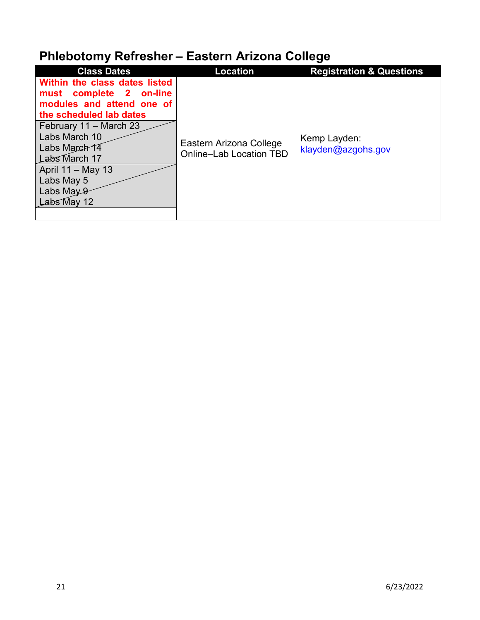# **Phlebotomy Refresher – Eastern Arizona College**

| <b>Class Dates</b>            | <b>Location</b>         | <b>Registration &amp; Questions</b> |
|-------------------------------|-------------------------|-------------------------------------|
| Within the class dates listed |                         |                                     |
| must complete 2 on-line       |                         |                                     |
| modules and attend one of     |                         |                                     |
| the scheduled lab dates       |                         |                                     |
| February 11 - March 23        |                         |                                     |
| Labs March 10                 |                         | Kemp Layden:                        |
| Labs March 14                 | Eastern Arizona College | klayden@azgohs.gov                  |
| Labs March 17                 | Online-Lab Location TBD |                                     |
| April 11 – May 13             |                         |                                     |
| Labs May 5                    |                         |                                     |
| Labs May 9                    |                         |                                     |
| Labs May 12                   |                         |                                     |
|                               |                         |                                     |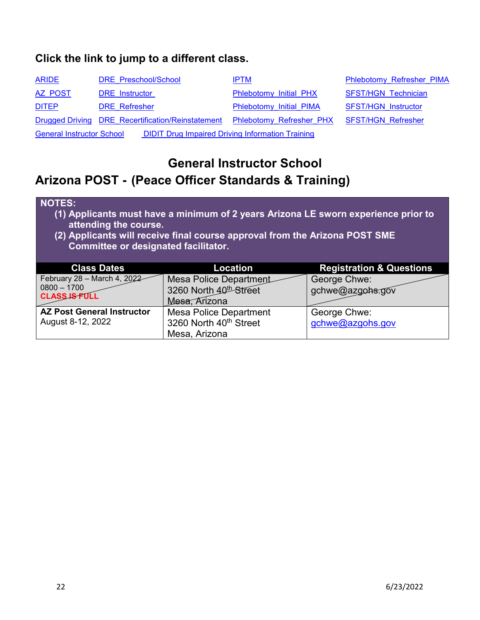| <b>ARIDE</b>                                                                                | DRE Preschool/School                              | <b>IPTM</b>                                 | <b>Phlebotomy Refresher PIMA</b> |  |
|---------------------------------------------------------------------------------------------|---------------------------------------------------|---------------------------------------------|----------------------------------|--|
| AZ POST                                                                                     | <b>DRE</b> Instructor                             | Phlebotomy Initial PHX                      | <b>SFST/HGN Technician</b>       |  |
| <b>DITEP</b>                                                                                | <b>DRE</b> Refresher                              | Phlebotomy Initial PIMA                     | <b>SFST/HGN Instructor</b>       |  |
|                                                                                             | Drugged Driving DRE Recertification/Reinstatement | Phlebotomy Refresher PHX SFST/HGN Refresher |                                  |  |
| <b>DIDIT Drug Impaired Driving Information Training</b><br><b>General Instructor School</b> |                                                   |                                             |                                  |  |

## <span id="page-21-0"></span>**General Instructor School Arizona POST - (Peace Officer Standards & Training)**

#### **NOTES:**

- **(1) Applicants must have a minimum of 2 years Arizona LE sworn experience prior to attending the course.**
- **(2) Applicants will receive final course approval from the Arizona POST SME Committee or designated facilitator.**

| <b>Class Dates</b>                    | Location                           | <b>Registration &amp; Questions</b> |
|---------------------------------------|------------------------------------|-------------------------------------|
| February 28 - March 4, 2022           | Mesa Police Department             | George Chwe:                        |
| $0800 - 1700$<br><b>CLASS IS FULL</b> | 3260 North 40 <sup>th</sup> Street | gchwe@azgohs.gov                    |
|                                       | Mesa, Arizona                      |                                     |
| <b>AZ Post General Instructor</b>     | <b>Mesa Police Department</b>      | George Chwe:                        |
| August 8-12, 2022                     | 3260 North 40th Street             | gchwe@azgohs.gov                    |
|                                       | Mesa, Arizona                      |                                     |